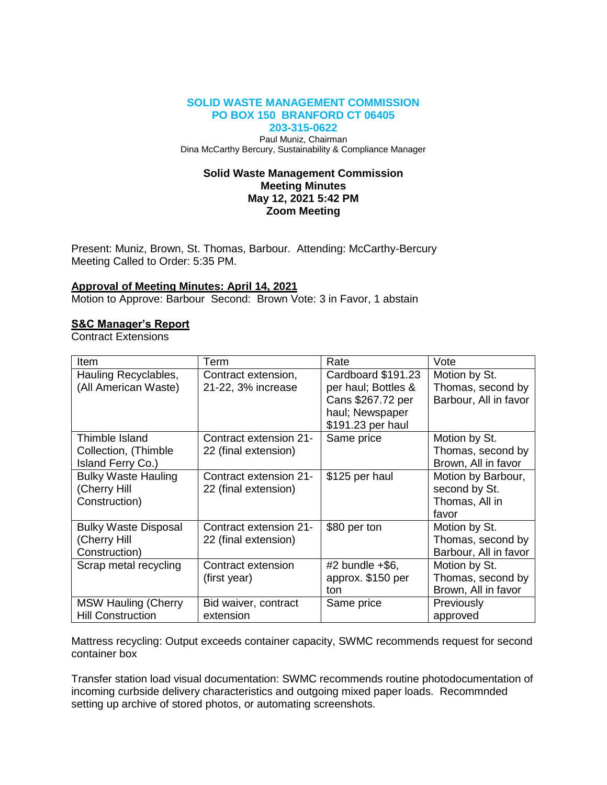### **SOLID WASTE MANAGEMENT COMMISSION PO BOX 150 BRANFORD CT 06405 203-315-0622**

Paul Muniz, Chairman Dina McCarthy Bercury, Sustainability & Compliance Manager

### **Solid Waste Management Commission Meeting Minutes May 12, 2021 5:42 PM Zoom Meeting**

Present: Muniz, Brown, St. Thomas, Barbour. Attending: McCarthy-Bercury Meeting Called to Order: 5:35 PM.

# **Approval of Meeting Minutes: April 14, 2021**

Motion to Approve: Barbour Second: Brown Vote: 3 in Favor, 1 abstain

### **S&C Manager's Report**

Contract Extensions

| Item                                                         | Term                                           | Rate                                                           | Vote                                                           |
|--------------------------------------------------------------|------------------------------------------------|----------------------------------------------------------------|----------------------------------------------------------------|
| Hauling Recyclables,<br>(All American Waste)                 | Contract extension,<br>21-22, 3% increase      | Cardboard \$191.23<br>per haul; Bottles &<br>Cans \$267.72 per | Motion by St.<br>Thomas, second by<br>Barbour, All in favor    |
|                                                              |                                                | haul; Newspaper<br>\$191.23 per haul                           |                                                                |
| Thimble Island<br>Collection, (Thimble<br>Island Ferry Co.)  | Contract extension 21-<br>22 (final extension) | Same price                                                     | Motion by St.<br>Thomas, second by<br>Brown, All in favor      |
| <b>Bulky Waste Hauling</b><br>(Cherry Hill<br>Construction)  | Contract extension 21-<br>22 (final extension) | \$125 per haul                                                 | Motion by Barbour,<br>second by St.<br>Thomas, All in<br>favor |
| <b>Bulky Waste Disposal</b><br>(Cherry Hill<br>Construction) | Contract extension 21-<br>22 (final extension) | \$80 per ton                                                   | Motion by St.<br>Thomas, second by<br>Barbour, All in favor    |
| Scrap metal recycling                                        | Contract extension<br>(first year)             | $#2$ bundle $+$ \$6,<br>approx. \$150 per<br>ton               | Motion by St.<br>Thomas, second by<br>Brown, All in favor      |
| <b>MSW Hauling (Cherry</b><br><b>Hill Construction</b>       | Bid waiver, contract<br>extension              | Same price                                                     | Previously<br>approved                                         |

Mattress recycling: Output exceeds container capacity, SWMC recommends request for second container box

Transfer station load visual documentation: SWMC recommends routine photodocumentation of incoming curbside delivery characteristics and outgoing mixed paper loads. Recommnded setting up archive of stored photos, or automating screenshots.